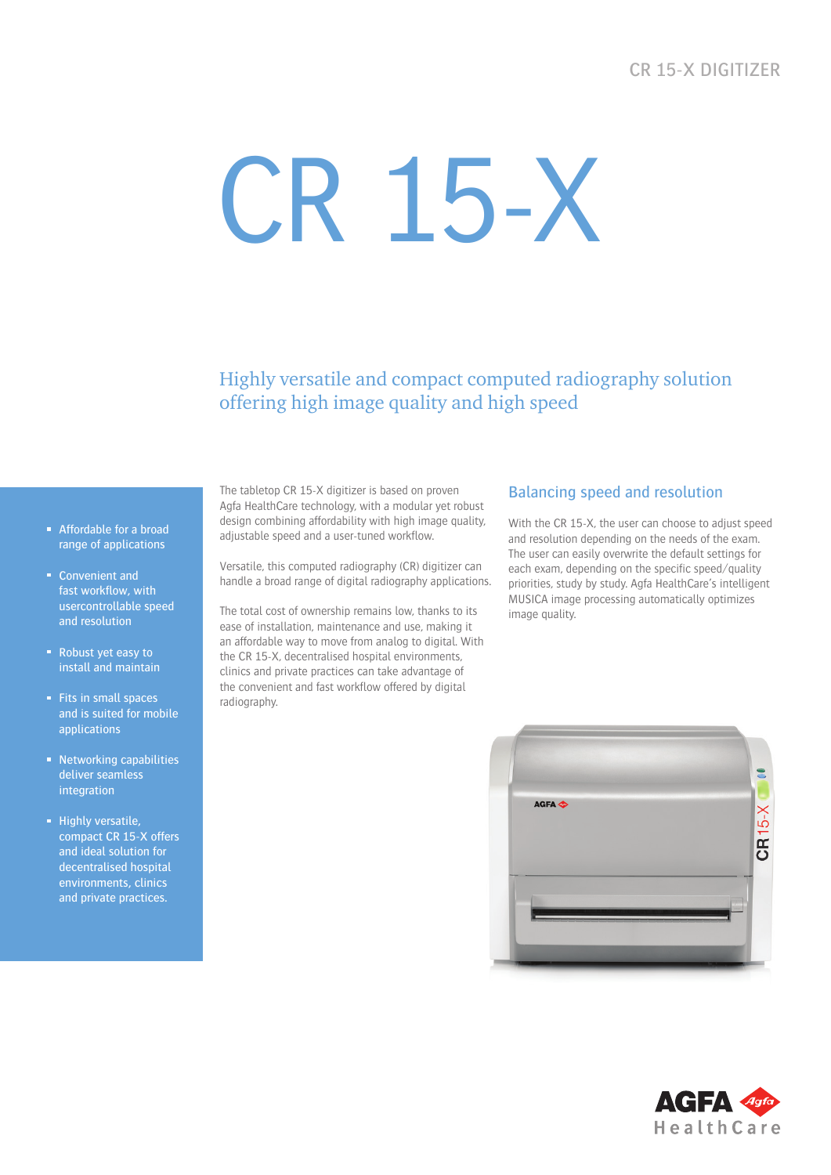# CR 15-X Digitizer

# CR 15-X

Highly versatile and compact computed radiography solution offering high image quality and high speed

- Affordable for a broad range of applications
- **Convenient and** fast workflow, with usercontrollable speed and resolution
- Robust yet easy to install and maintain
- $F$  Fits in small spaces and is suited for mobile applications
- Networking capabilities deliver seamless integration
- **Highly versatile,** compact CR 15-X offers and ideal solution for decentralised hospital environments, clinics and private practices.

The tabletop CR 15-X digitizer is based on proven Agfa HealthCare technology, with a modular yet robust design combining affordability with high image quality, adjustable speed and a user-tuned workflow.

Versatile, this computed radiography (CR) digitizer can handle a broad range of digital radiography applications.

The total cost of ownership remains low, thanks to its ease of installation, maintenance and use, making it an affordable way to move from analog to digital. With the CR 15-X, decentralised hospital environments, clinics and private practices can take advantage of the convenient and fast workflow offered by digital radiography.

### Balancing speed and resolution

With the CR 15-X, the user can choose to adjust speed and resolution depending on the needs of the exam. The user can easily overwrite the default settings for each exam, depending on the specific speed/quality priorities, study by study. Agfa HealthCare's intelligent MUSICA image processing automatically optimizes image quality.



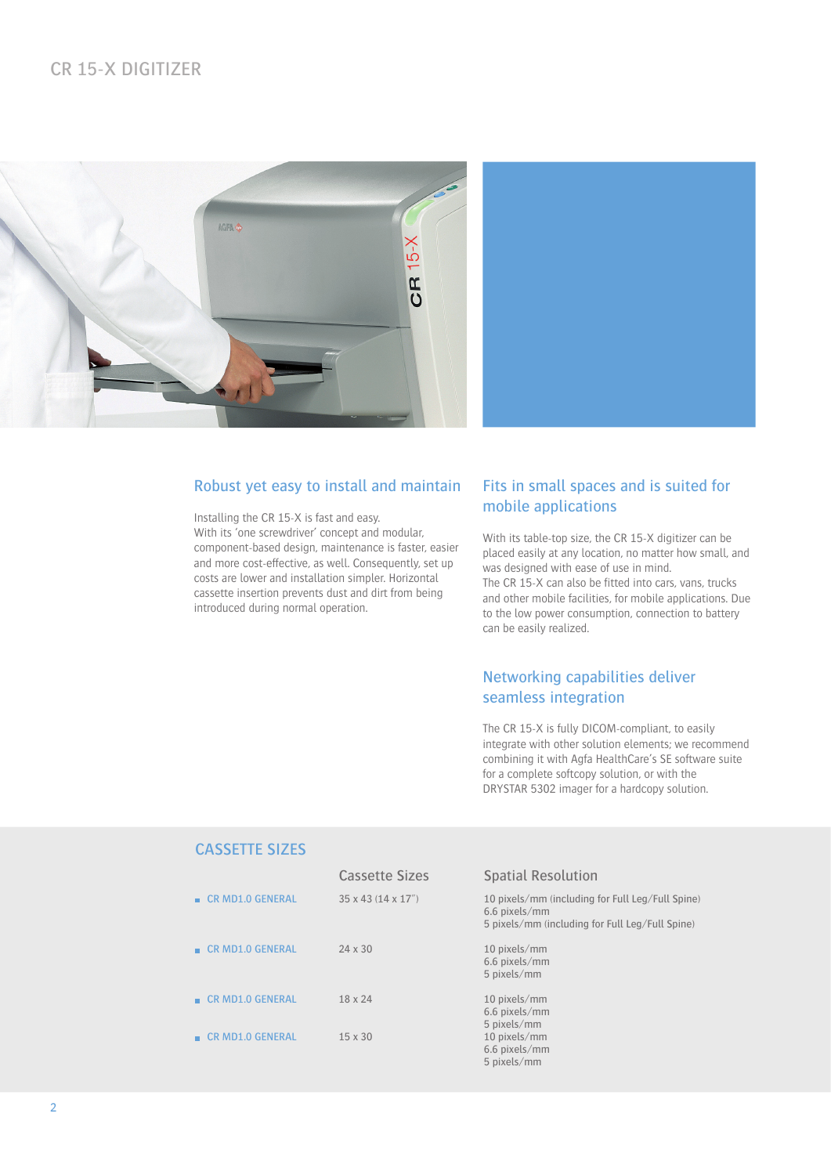

### Robust yet easy to install and maintain

Installing the CR 15-X is fast and easy. With its 'one screwdriver' concept and modular, component-based design, maintenance is faster, easier and more cost-effective, as well. Consequently, set up costs are lower and installation simpler. Horizontal cassette insertion prevents dust and dirt from being introduced during normal operation.

### Fits in small spaces and is suited for mobile applications

With its table-top size, the CR 15-X digitizer can be placed easily at any location, no matter how small, and was designed with ease of use in mind. The CR 15-X can also be fitted into cars, vans, trucks and other mobile facilities, for mobile applications. Due to the low power consumption, connection to battery can be easily realized.

## Networking capabilities deliver seamless integration

The CR 15-X is fully DICOM-compliant, to easily integrate with other solution elements; we recommend combining it with Agfa HealthCare's SE software suite for a complete softcopy solution, or with the DRYSTAR 5302 imager for a hardcopy solution.

### CASSETTE SIZES

|                                 | <b>Cassette Sizes</b>            | <b>Spatial Resolution</b>                                                                                            |
|---------------------------------|----------------------------------|----------------------------------------------------------------------------------------------------------------------|
| <b>E</b> CR MD1.0 GENERAL       | $35 \times 43$ (14 $\times$ 17") | 10 pixels/mm (including for Full Leg/Full Spine)<br>6.6 pixels/mm<br>5 pixels/mm (including for Full Leg/Full Spine) |
| <b>E</b> CR MD1.0 GENERAL       | $24 \times 30$                   | 10 pixels/mm<br>6.6 pixels/mm<br>5 pixels/mm                                                                         |
| $\blacksquare$ CR MD1.0 GENERAL | $18 \times 24$                   | 10 pixels/mm<br>6.6 pixels/mm<br>5 pixels/mm                                                                         |
| <b>CR MD1.0 GENERAL</b>         | $15 \times 30$                   | 10 pixels/mm<br>6.6 pixels/mm<br>5 pixels/mm                                                                         |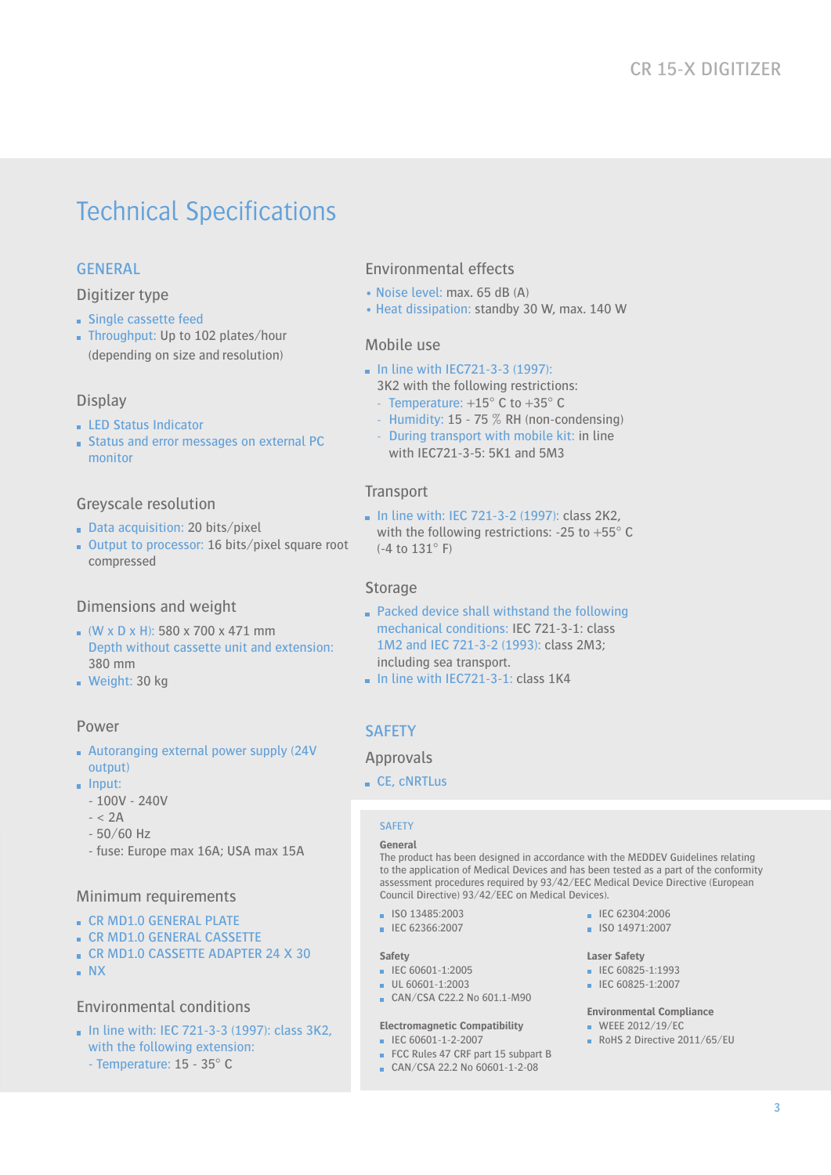# Technical Specifications

## GENERAL

### Digitizer type

- **Single cassette feed**
- Throughput: Up to 102 plates/hour (depending on size and resolution)

### **Display**

- **LED Status Indicator**
- **Status and error messages on external PC** monitor

### Greyscale resolution

- Data acquisition: 20 bits/pixel
- $\blacksquare$  Output to processor: 16 bits/pixel square root compressed

### Dimensions and weight

- $(W \times D \times H)$ : 580 x 700 x 471 mm Depth without cassette unit and extension: 380 mm
- Weight: 30 kg

### Power

- Autoranging external power supply (24V output)
- $\blacksquare$  Input:
	- 100V 240V
	- $< 2A$
	- 50/60 Hz
	- fuse: Europe max 16A; USA max 15A

### Minimum requirements

- CR MD1.0 GENERAL PLATE
- **CR MD1.0 GENERAL CASSETTE**
- CR MD1.0 CASSETTE ADAPTER 24 X 30
- NX

### Environmental conditions

 $\blacksquare$  In line with: IEC 721-3-3 (1997): class 3K2. with the following extension: - Temperature: 15 - 35° C

### Environmental effects

- Noise level: max. 65 dB (A)
- Heat dissipation: standby 30 W, max. 140 W

### Mobile use

- $\blacksquare$  In line with IEC721-3-3 (1997):
	- 3K2 with the following restrictions:
	- Temperature:  $+15^{\circ}$  C to  $+35^{\circ}$  C
	- Humidity: 15 75 % RH (non-condensing)
	- During transport with mobile kit: in line with IEC721-3-5: 5K1 and 5M3

### **Transport**

 $\blacksquare$  In line with: IEC 721-3-2 (1997): class 2K2, with the following restrictions: -25 to +55° C (-4 to 131° F)

### Storage

- Packed device shall withstand the following mechanical conditions: IEC 721-3-1: class 1M2 and IEC 721-3-2 (1993): class 2M3; including sea transport.
- $\blacksquare$  In line with IEC721-3-1: class 1K4

### **SAFETY**

### Approvals

CE, cNRTLus

The product has been designed in accordance with the MEDDEV Guidelines relating to the application of Medical Devices and has been tested as a part of the conformity assessment procedures required by 93/42/EEC Medical Device Directive (European Council Directive) 93/42/EEC on Medical Devices).

- $\blacksquare$  ISO 13485:2003
- IEC 62366:2007

### **Safety**

- IEC 60601-1:2005
- UL 60601-1:2003
- CAN/CSA C22.2 No 601.1-M90

### **Electromagnetic Compatibility**

- IEC 60601-1-2-2007
- FCC Rules 47 CRF part 15 subpart B CAN/CSA 22.2 No 60601-1-2-08
- $I = IFC 62304:2006$
- ISO 14971:2007

### **Laser Safety**

- $\blacksquare$  IEC 60825-1:1993
- IEC 60825-1:2007

### **Environmental Compliance**

- $W$ EEE 2012/19/EC
- $RoHS$  2 Directive 2011/65/EU

### **SAFFTY General**